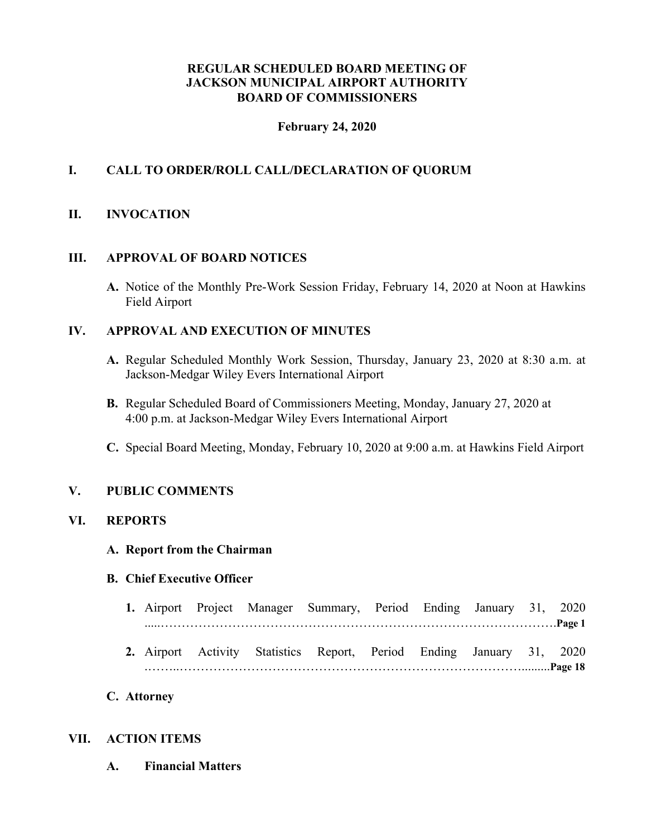### **REGULAR SCHEDULED BOARD MEETING OF JACKSON MUNICIPAL AIRPORT AUTHORITY BOARD OF COMMISSIONERS**

#### **February 24, 2020**

## **I. CALL TO ORDER/ROLL CALL/DECLARATION OF QUORUM**

### **II. INVOCATION**

#### **III. APPROVAL OF BOARD NOTICES**

**A.** Notice of the Monthly Pre-Work Session Friday, February 14, 2020 at Noon at Hawkins Field Airport

### **IV. APPROVAL AND EXECUTION OF MINUTES**

- **A.** Regular Scheduled Monthly Work Session, Thursday, January 23, 2020 at 8:30 a.m. at Jackson-Medgar Wiley Evers International Airport
- **B.** Regular Scheduled Board of Commissioners Meeting, Monday, January 27, 2020 at 4:00 p.m. at Jackson-Medgar Wiley Evers International Airport
- **C.** Special Board Meeting, Monday, February 10, 2020 at 9:00 a.m. at Hawkins Field Airport

#### **V. PUBLIC COMMENTS**

#### **VI. REPORTS**

#### **A. Report from the Chairman**

#### **B. Chief Executive Officer**

- **1.** Airport Project Manager Summary, Period Ending January 31, 2020 .....………………………………………………………………………………….**Page 1**
- **2.** Airport Activity Statistics Report, Period Ending January 31, 2020 .……..……………………………………………………………………….........**Page 18**

#### **C. Attorney**

#### **VII. ACTION ITEMS**

**A. Financial Matters**